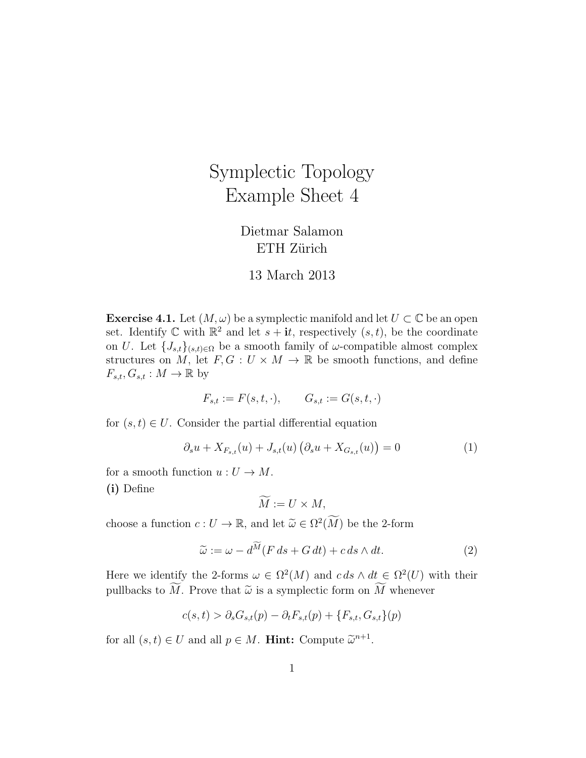## Symplectic Topology Example Sheet 4

## Dietmar Salamon ETH Zürich

## 13 March 2013

**Exercise 4.1.** Let  $(M, \omega)$  be a symplectic manifold and let  $U \subset \mathbb{C}$  be an open set. Identify  $\mathbb C$  with  $\mathbb R^2$  and let  $s + it$ , respectively  $(s, t)$ , be the coordinate on U. Let  $\{J_{s,t}\}_{(s,t)\in\Omega}$  be a smooth family of  $\omega$ -compatible almost complex structures on M, let  $F, G: U \times M \to \mathbb{R}$  be smooth functions, and define  $F_{s,t}, G_{s,t} : M \to \mathbb{R}$  by

$$
F_{s,t} := F(s,t,\cdot), \qquad G_{s,t} := G(s,t,\cdot)
$$

for  $(s, t) \in U$ . Consider the partial differential equation

$$
\partial_s u + X_{F_{s,t}}(u) + J_{s,t}(u) \left( \partial_s u + X_{G_{s,t}}(u) \right) = 0 \tag{1}
$$

for a smooth function  $u: U \to M$ . (i) Define

$$
\widetilde{M} := U \times M,
$$

choose a function  $c: U \to \mathbb{R}$ , and let  $\widetilde{\omega} \in \Omega^2(\widetilde{M})$  be the 2-form

$$
\widetilde{\omega} := \omega - d^{\widetilde{M}}(F ds + G dt) + c ds \wedge dt.
$$
\n(2)

Here we identify the 2-forms  $\omega \in \Omega^2(M)$  and  $c ds \wedge dt \in \Omega^2(U)$  with their pullbacks to  $\widetilde{M}$ . Prove that  $\widetilde{\omega}$  is a symplectic form on  $\widetilde{M}$  whenever

$$
c(s,t) > \partial_s G_{s,t}(p) - \partial_t F_{s,t}(p) + \{F_{s,t}, G_{s,t}\}(p)
$$

for all  $(s, t) \in U$  and all  $p \in M$ . **Hint:** Compute  $\widetilde{\omega}^{n+1}$ .